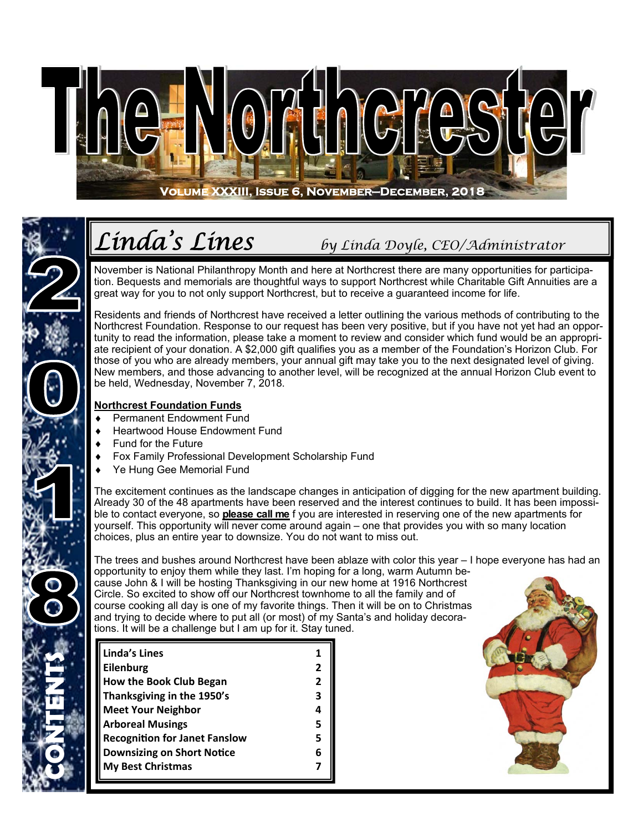

## *Linda's Lines by Linda Doyle, CEO/Administrator*

November is National Philanthropy Month and here at Northcrest there are many opportunities for participation. Bequests and memorials are thoughtful ways to support Northcrest while Charitable Gift Annuities are a great way for you to not only support Northcrest, but to receive a guaranteed income for life.

Residents and friends of Northcrest have received a letter outlining the various methods of contributing to the Northcrest Foundation. Response to our request has been very positive, but if you have not yet had an opportunity to read the information, please take a moment to review and consider which fund would be an appropriate recipient of your donation. A \$2,000 gift qualifies you as a member of the Foundation's Horizon Club. For those of you who are already members, your annual gift may take you to the next designated level of giving. New members, and those advancing to another level, will be recognized at the annual Horizon Club event to be held, Wednesday, November 7, 2018.

#### **Northcrest Foundation Funds**

- Permanent Endowment Fund
- Heartwood House Endowment Fund
- Fund for the Future

**CONTENTS** 

- Fox Family Professional Development Scholarship Fund
- Ye Hung Gee Memorial Fund

The excitement continues as the landscape changes in anticipation of digging for the new apartment building. Already 30 of the 48 apartments have been reserved and the interest continues to build. It has been impossible to contact everyone, so **please call me** f you are interested in reserving one of the new apartments for yourself. This opportunity will never come around again – one that provides you with so many location choices, plus an entire year to downsize. You do not want to miss out.

The trees and bushes around Northcrest have been ablaze with color this year – I hope everyone has had an opportunity to enjoy them while they last. I'm hoping for a long, warm Autumn because John & I will be hosting Thanksgiving in our new home at 1916 Northcrest Circle. So excited to show off our Northcrest townhome to all the family and of course cooking all day is one of my favorite things. Then it will be on to Christmas and trying to decide where to put all (or most) of my Santa's and holiday decorations. It will be a challenge but I am up for it. Stay tuned.

| <b>Linda's Lines</b>                 |   |
|--------------------------------------|---|
| <b>Eilenburg</b>                     |   |
| <b>How the Book Club Began</b>       | 2 |
| Thanksgiving in the 1950's           | 3 |
| <b>Meet Your Neighbor</b>            |   |
| <b>Arboreal Musings</b>              |   |
| <b>Recognition for Janet Fanslow</b> | 5 |
| <b>Downsizing on Short Notice</b>    |   |
| <b>My Best Christmas</b>             |   |

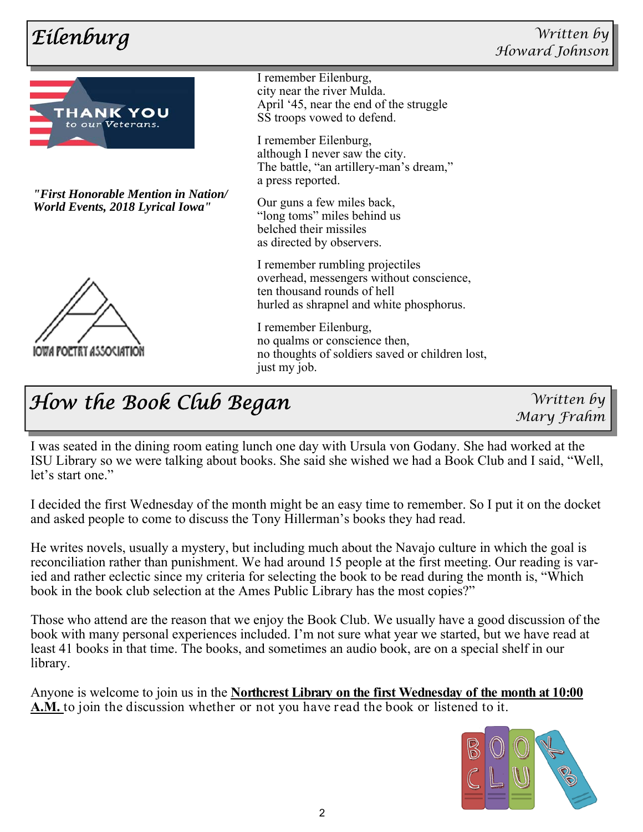

*"First Honorable Mention in Nation/ World Events, 2018 Lyrical Iowa"* 



I remember Eilenburg, city near the river Mulda. April '45, near the end of the struggle SS troops vowed to defend.

I remember Eilenburg, although I never saw the city. The battle, "an artillery-man's dream," a press reported.

Our guns a few miles back, "long toms" miles behind us belched their missiles as directed by observers.

I remember rumbling projectiles overhead, messengers without conscience, ten thousand rounds of hell hurled as shrapnel and white phosphorus.

I remember Eilenburg, no qualms or conscience then, no thoughts of soldiers saved or children lost, just my job.

### *How the Book Club Began*

*Written by Mary Frahm* 

I was seated in the dining room eating lunch one day with Ursula von Godany. She had worked at the ISU Library so we were talking about books. She said she wished we had a Book Club and I said, "Well, let's start one."

I decided the first Wednesday of the month might be an easy time to remember. So I put it on the docket and asked people to come to discuss the Tony Hillerman's books they had read.

He writes novels, usually a mystery, but including much about the Navajo culture in which the goal is reconciliation rather than punishment. We had around 15 people at the first meeting. Our reading is varied and rather eclectic since my criteria for selecting the book to be read during the month is, "Which book in the book club selection at the Ames Public Library has the most copies?"

Those who attend are the reason that we enjoy the Book Club. We usually have a good discussion of the book with many personal experiences included. I'm not sure what year we started, but we have read at least 41 books in that time. The books, and sometimes an audio book, are on a special shelf in our library.

Anyone is welcome to join us in the **Northcrest Library on the first Wednesday of the month at 10:00 A.M.** to join the discussion whether or not you have read the book or listened to it.

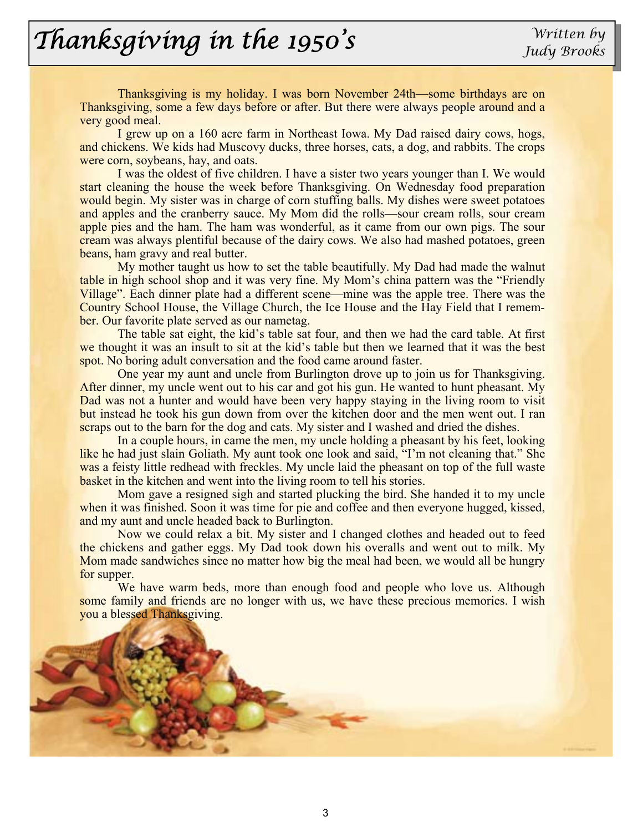# *Thanksgiving in the 1950's* Written by

Thanksgiving is my holiday. I was born November 24th—some birthdays are on Thanksgiving, some a few days before or after. But there were always people around and a very good meal.

 I grew up on a 160 acre farm in Northeast Iowa. My Dad raised dairy cows, hogs, and chickens. We kids had Muscovy ducks, three horses, cats, a dog, and rabbits. The crops were corn, soybeans, hay, and oats.

 I was the oldest of five children. I have a sister two years younger than I. We would start cleaning the house the week before Thanksgiving. On Wednesday food preparation would begin. My sister was in charge of corn stuffing balls. My dishes were sweet potatoes and apples and the cranberry sauce. My Mom did the rolls—sour cream rolls, sour cream apple pies and the ham. The ham was wonderful, as it came from our own pigs. The sour cream was always plentiful because of the dairy cows. We also had mashed potatoes, green beans, ham gravy and real butter.

 My mother taught us how to set the table beautifully. My Dad had made the walnut table in high school shop and it was very fine. My Mom's china pattern was the "Friendly Village". Each dinner plate had a different scene—mine was the apple tree. There was the Country School House, the Village Church, the Ice House and the Hay Field that I remember. Our favorite plate served as our nametag.

 The table sat eight, the kid's table sat four, and then we had the card table. At first we thought it was an insult to sit at the kid's table but then we learned that it was the best spot. No boring adult conversation and the food came around faster.

 One year my aunt and uncle from Burlington drove up to join us for Thanksgiving. After dinner, my uncle went out to his car and got his gun. He wanted to hunt pheasant. My Dad was not a hunter and would have been very happy staying in the living room to visit but instead he took his gun down from over the kitchen door and the men went out. I ran scraps out to the barn for the dog and cats. My sister and I washed and dried the dishes.

 In a couple hours, in came the men, my uncle holding a pheasant by his feet, looking like he had just slain Goliath. My aunt took one look and said, "I'm not cleaning that." She was a feisty little redhead with freckles. My uncle laid the pheasant on top of the full waste basket in the kitchen and went into the living room to tell his stories.

 Mom gave a resigned sigh and started plucking the bird. She handed it to my uncle when it was finished. Soon it was time for pie and coffee and then everyone hugged, kissed, and my aunt and uncle headed back to Burlington.

 Now we could relax a bit. My sister and I changed clothes and headed out to feed the chickens and gather eggs. My Dad took down his overalls and went out to milk. My Mom made sandwiches since no matter how big the meal had been, we would all be hungry for supper.

 We have warm beds, more than enough food and people who love us. Although some family and friends are no longer with us, we have these precious memories. I wish you a blessed Thanksgiving.

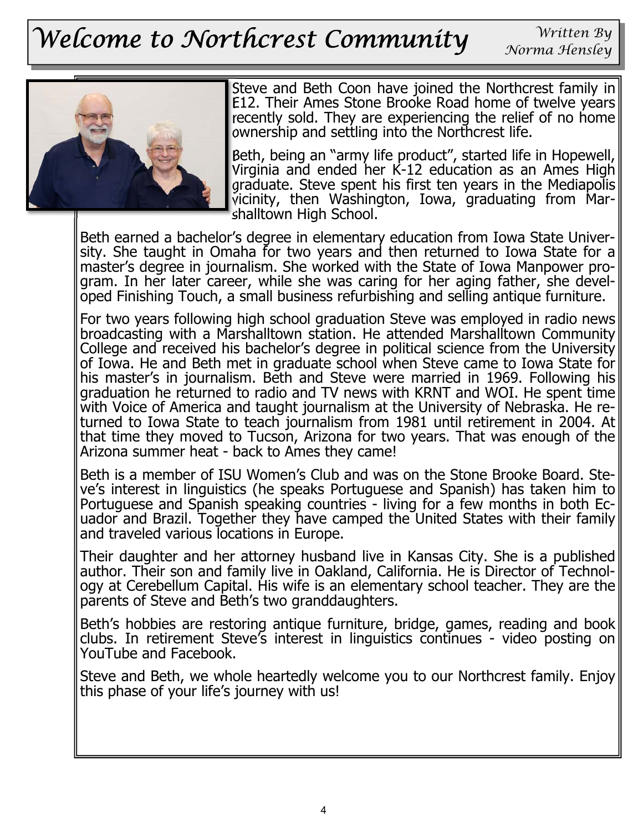# *Welcome to Northcrest Community*

*Written By Norma Hensley* 



Steve and Beth Coon have joined the Northcrest family in E12. Their Ames Stone Brooke Road home of twelve years recently sold. They are experiencing the relief of no home ownership and settling into the Northcrest life.

Beth, being an "army life product", started life in Hopewell, Virginia and ended her K-12 education as an Ames High graduate. Steve spent his first ten years in the Mediapolis vicinity, then Washington, Iowa, graduating from Marshalltown High School.

Beth earned a bachelor's degree in elementary education from Iowa State University. She taught in Omaha for two years and then returned to Iowa State for a master's degree in journalism. She worked with the State of Iowa Manpower program. In her later career, while she was caring for her aging father, she developed Finishing Touch, a small business refurbishing and selling antique furniture.

For two years following high school graduation Steve was employed in radio news broadcasting with a Marshalltown station. He attended Marshalltown Community College and received his bachelor's degree in political science from the University of Iowa. He and Beth met in graduate school when Steve came to Iowa State for his master's in journalism. Beth and Steve were married in 1969. Following his graduation he returned to radio and TV news with KRNT and WOI. He spent time with Voice of America and taught journalism at the University of Nebraska. He returned to Iowa State to teach journalism from 1981 until retirement in 2004. At that time they moved to Tucson, Arizona for two years. That was enough of the Arizona summer heat - back to Ames they came!

Beth is a member of ISU Women's Club and was on the Stone Brooke Board. Steve's interest in linguistics (he speaks Portuguese and Spanish) has taken him to Portuguese and Spanish speaking countries - living for a few months in both Ecuador and Brazil. Together they have camped the United States with their family and traveled various locations in Europe.

Their daughter and her attorney husband live in Kansas City. She is a published author. Their son and family live in Oakland, California. He is Director of Technology at Cerebellum Capital. His wife is an elementary school teacher. They are the parents of Steve and Beth's two granddaughters.

Beth's hobbies are restoring antique furniture, bridge, games, reading and book clubs. In retirement Steve's interest in linguistics continues - video posting on YouTube and Facebook.

Steve and Beth, we whole heartedly welcome you to our Northcrest family. Enjoy this phase of your life's journey with us!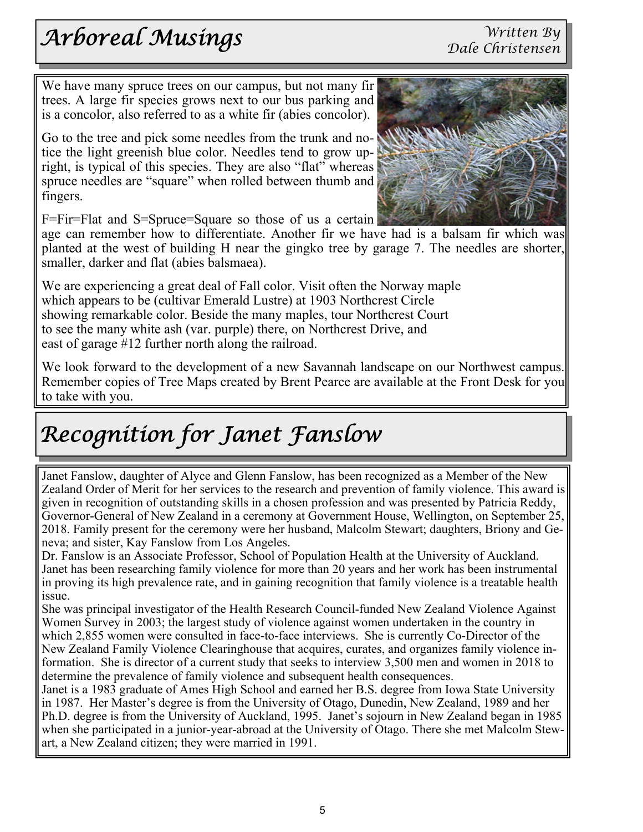## *Arboreal Musings*

 We have many spruce trees on our campus, but not many fir trees. A large fir species grows next to our bus parking and is a concolor, also referred to as a white fir (abies concolor).

Go to the tree and pick some needles from the trunk and notice the light greenish blue color. Needles tend to grow upright, is typical of this species. They are also "flat" whereas spruce needles are "square" when rolled between thumb and fingers.

F=Fir=Flat and S=Spruce=Square so those of us a certain

age can remember how to differentiate. Another fir we have had is a balsam fir which was planted at the west of building H near the gingko tree by garage 7. The needles are shorter, smaller, darker and flat (abies balsmaea).

We are experiencing a great deal of Fall color. Visit often the Norway maple which appears to be (cultivar Emerald Lustre) at 1903 Northcrest Circle showing remarkable color. Beside the many maples, tour Northcrest Court to see the many white ash (var. purple) there, on Northcrest Drive, and east of garage #12 further north along the railroad.

We look forward to the development of a new Savannah landscape on our Northwest campus. Remember copies of Tree Maps created by Brent Pearce are available at the Front Desk for you to take with you.

## *Recognition for Janet Fanslow*

 Governor-General of New Zealand in a ceremony at Government House, Wellington, on September 25, Janet Fanslow, daughter of Alyce and Glenn Fanslow, has been recognized as a Member of the New Zealand Order of Merit for her services to the research and prevention of family violence. This award is given in recognition of outstanding skills in a chosen profession and was presented by Patricia Reddy, 2018. Family present for the ceremony were her husband, Malcolm Stewart; daughters, Briony and Geneva; and sister, Kay Fanslow from Los Angeles.

Dr. Fanslow is an Associate Professor, School of Population Health at the University of Auckland. Janet has been researching family violence for more than 20 years and her work has been instrumental in proving its high prevalence rate, and in gaining recognition that family violence is a treatable health issue.

She was principal investigator of the Health Research Council-funded New Zealand Violence Against Women Survey in 2003; the largest study of violence against women undertaken in the country in which 2,855 women were consulted in face-to-face interviews. She is currently Co-Director of the New Zealand Family Violence Clearinghouse that acquires, curates, and organizes family violence information. She is director of a current study that seeks to interview 3,500 men and women in 2018 to determine the prevalence of family violence and subsequent health consequences.

Janet is a 1983 graduate of Ames High School and earned her B.S. degree from Iowa State University in 1987. Her Master's degree is from the University of Otago, Dunedin, New Zealand, 1989 and her Ph.D. degree is from the University of Auckland, 1995. Janet's sojourn in New Zealand began in 1985 when she participated in a junior-year-abroad at the University of Otago. There she met Malcolm Stewart, a New Zealand citizen; they were married in 1991.

*Written By* 

*Dale Christensen* 

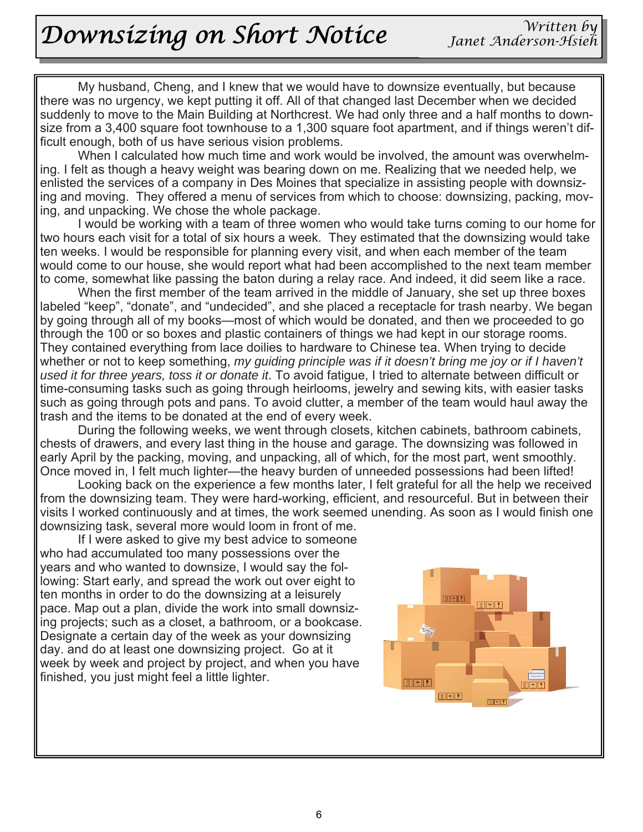## *Downsizing on Short Notice*

 My husband, Cheng, and I knew that we would have to downsize eventually, but because there was no urgency, we kept putting it off. All of that changed last December when we decided suddenly to move to the Main Building at Northcrest. We had only three and a half months to downsize from a 3,400 square foot townhouse to a 1,300 square foot apartment, and if things weren't difficult enough, both of us have serious vision problems.

 When I calculated how much time and work would be involved, the amount was overwhelming. I felt as though a heavy weight was bearing down on me. Realizing that we needed help, we enlisted the services of a company in Des Moines that specialize in assisting people with downsizing and moving. They offered a menu of services from which to choose: downsizing, packing, moving, and unpacking. We chose the whole package.

 I would be working with a team of three women who would take turns coming to our home for two hours each visit for a total of six hours a week. They estimated that the downsizing would take ten weeks. I would be responsible for planning every visit, and when each member of the team would come to our house, she would report what had been accomplished to the next team member to come, somewhat like passing the baton during a relay race. And indeed, it did seem like a race.

 When the first member of the team arrived in the middle of January, she set up three boxes labeled "keep", "donate", and "undecided", and she placed a receptacle for trash nearby. We began by going through all of my books—most of which would be donated, and then we proceeded to go through the 100 or so boxes and plastic containers of things we had kept in our storage rooms. They contained everything from lace doilies to hardware to Chinese tea. When trying to decide whether or not to keep something, *my guiding principle was if it doesn't bring me joy or if I haven't used it for three years, toss it or donate it*. To avoid fatigue, I tried to alternate between difficult or time-consuming tasks such as going through heirlooms, jewelry and sewing kits, with easier tasks such as going through pots and pans. To avoid clutter, a member of the team would haul away the trash and the items to be donated at the end of every week.

 During the following weeks, we went through closets, kitchen cabinets, bathroom cabinets, chests of drawers, and every last thing in the house and garage. The downsizing was followed in early April by the packing, moving, and unpacking, all of which, for the most part, went smoothly. Once moved in, I felt much lighter—the heavy burden of unneeded possessions had been lifted!

 Looking back on the experience a few months later, I felt grateful for all the help we received from the downsizing team. They were hard-working, efficient, and resourceful. But in between their visits I worked continuously and at times, the work seemed unending. As soon as I would finish one downsizing task, several more would loom in front of me.

 If I were asked to give my best advice to someone who had accumulated too many possessions over the years and who wanted to downsize, I would say the following: Start early, and spread the work out over eight to ten months in order to do the downsizing at a leisurely pace. Map out a plan, divide the work into small downsizing projects; such as a closet, a bathroom, or a bookcase. Designate a certain day of the week as your downsizing day. and do at least one downsizing project. Go at it week by week and project by project, and when you have finished, you just might feel a little lighter.

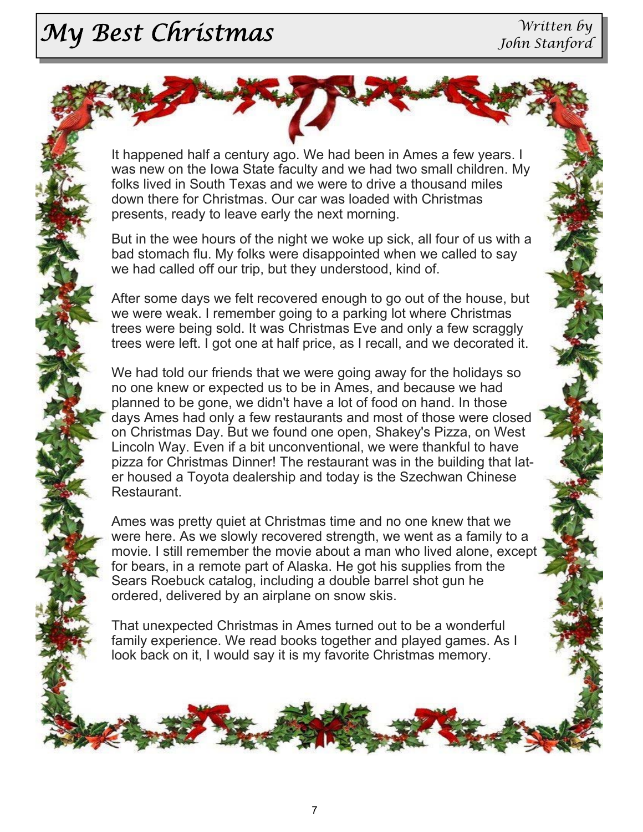# *My Best Christmas* Written by

It happened half a century ago. We had been in Ames a few years. I was new on the Iowa State faculty and we had two small children. My folks lived in South Texas and we were to drive a thousand miles down there for Christmas. Our car was loaded with Christmas presents, ready to leave early the next morning.

But in the wee hours of the night we woke up sick, all four of us with a bad stomach flu. My folks were disappointed when we called to say we had called off our trip, but they understood, kind of.

After some days we felt recovered enough to go out of the house, but we were weak. I remember going to a parking lot where Christmas trees were being sold. It was Christmas Eve and only a few scraggly trees were left. I got one at half price, as I recall, and we decorated it.

We had told our friends that we were going away for the holidays so no one knew or expected us to be in Ames, and because we had planned to be gone, we didn't have a lot of food on hand. In those days Ames had only a few restaurants and most of those were closed on Christmas Day. But we found one open, Shakey's Pizza, on West Lincoln Way. Even if a bit unconventional, we were thankful to have pizza for Christmas Dinner! The restaurant was in the building that later housed a Toyota dealership and today is the Szechwan Chinese Restaurant.

Ames was pretty quiet at Christmas time and no one knew that we were here. As we slowly recovered strength, we went as a family to a movie. I still remember the movie about a man who lived alone, except for bears, in a remote part of Alaska. He got his supplies from the Sears Roebuck catalog, including a double barrel shot gun he ordered, delivered by an airplane on snow skis.

That unexpected Christmas in Ames turned out to be a wonderful family experience. We read books together and played games. As I look back on it, I would say it is my favorite Christmas memory.